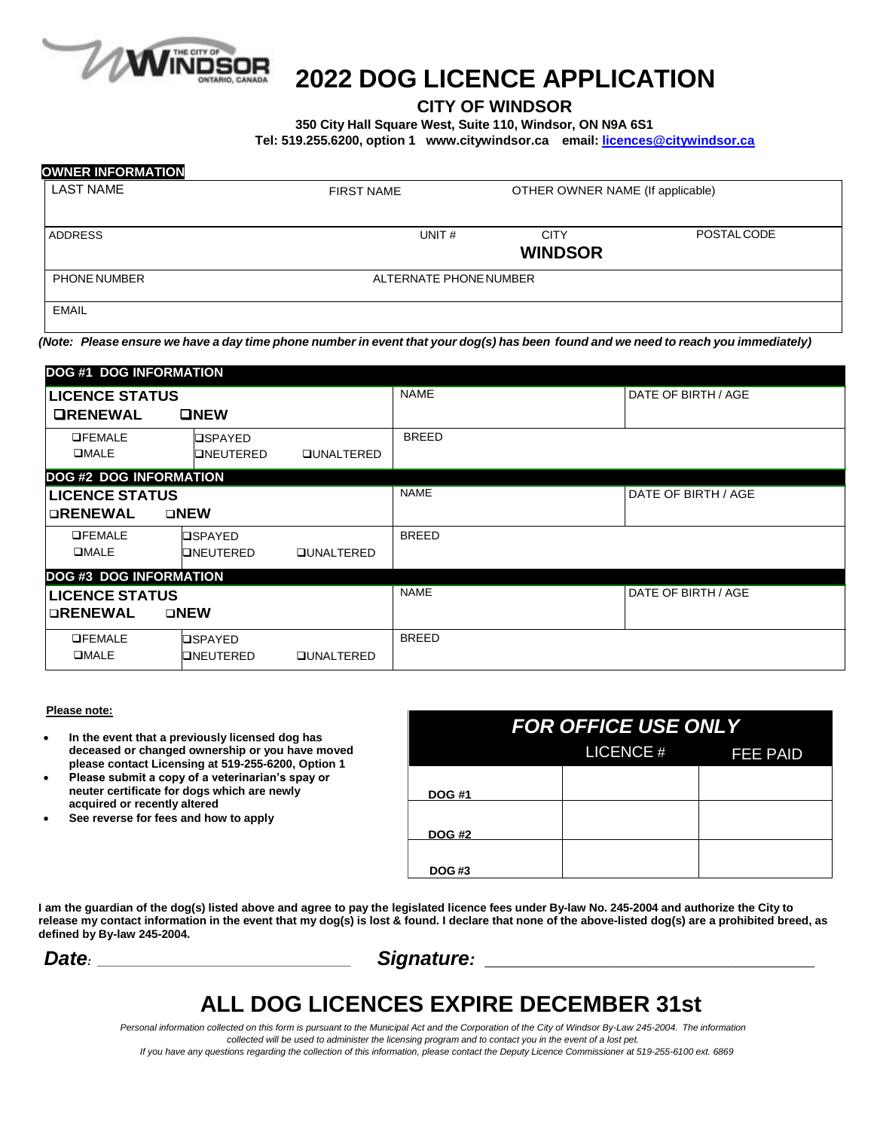

# **2022 DOG LICENCE APPLICATION**

#### **CITY OF WINDSOR**

**350 City Hall Square West, Suite 110, Windsor, ON N9A 6S1**

**Tel: 519.255.6200, option 1 [www.citywindsor.ca](http://www.amherstburg.ca/) email: [licences@citywindsor.ca](mailto:licences@citywindsor.ca)**

| <b>OWNER INFORMATION</b> |                        |                                  |                   |
|--------------------------|------------------------|----------------------------------|-------------------|
| <b>LAST NAME</b>         | <b>FIRST NAME</b>      | OTHER OWNER NAME (If applicable) |                   |
| <b>ADDRESS</b>           | UNIT#                  | <b>CITY</b><br><b>WINDSOR</b>    | <b>POSTALCODE</b> |
| <b>PHONE NUMBER</b>      | ALTERNATE PHONE NUMBER |                                  |                   |
| <b>EMAIL</b>             |                        |                                  |                   |

(Note: Please ensure we have a day time phone number in event that your dog(s) has been found and we need to reach you immediately)

| <b>DOG #1 DOG INFORMATION</b> |                  |                   |              |                     |  |
|-------------------------------|------------------|-------------------|--------------|---------------------|--|
| <b>LICENCE STATUS</b>         |                  |                   | <b>NAME</b>  | DATE OF BIRTH / AGE |  |
| <b>ORENEWAL</b>               | ONEW             |                   |              |                     |  |
| <b>OFEMALE</b>                | <b>OSPAYED</b>   |                   | <b>BREED</b> |                     |  |
| <b>OMALE</b>                  | <b>ONEUTERED</b> | <b>QUNALTERED</b> |              |                     |  |
| <b>DOG #2 DOG INFORMATION</b> |                  |                   |              |                     |  |
| <b>LICENCE STATUS</b>         |                  |                   | <b>NAME</b>  | DATE OF BIRTH / AGE |  |
| <b>ORENEWAL</b>               | $\square$ NEW    |                   |              |                     |  |
| <b>OFEMALE</b>                | <b>OSPAYED</b>   |                   | <b>BREED</b> |                     |  |
| <b>OMALE</b>                  | ONEUTERED        | <b>QUNALTERED</b> |              |                     |  |
| <b>DOG #3 DOG INFORMATION</b> |                  |                   |              |                     |  |
| <b>LICENCE STATUS</b>         |                  |                   | <b>NAME</b>  | DATE OF BIRTH / AGE |  |
| <b>ORENEWAL</b>               | $\square$ NEW    |                   |              |                     |  |
| <b>OFEMALE</b>                | <b>OSPAYED</b>   |                   | <b>BREED</b> |                     |  |
| <b>OMALE</b>                  | ONEUTERED        | <b>QUNALTERED</b> |              |                     |  |

#### **Please note:**

- **In the event that a previously licensed dog has deceased or changed ownership or you have moved please contact Licensing at 519-255-6200, Option 1**
- **Please submit a copy of a veterinarian's spay or neuter certificate for dogs which are newly acquired or recently altered**
- **See reverse for fees and how to apply**

| <b>FOR OFFICE USE ONLY</b> |  |                  |                 |  |  |
|----------------------------|--|------------------|-----------------|--|--|
|                            |  | <b>LICENCE #</b> | <b>FEE PAID</b> |  |  |
| <b>DOG #1</b>              |  |                  |                 |  |  |
|                            |  |                  |                 |  |  |
| <b>DOG #2</b>              |  |                  |                 |  |  |
| <b>DOG#3</b>               |  |                  |                 |  |  |

**I am the guardian of the dog(s) listed above and agree to pay the legislated licence fees under By-law No. 245-2004 and authorize the City to release my contact information in the event that my dog(s) is lost & found. I declare that none of the above-listed dog(s) are a prohibited breed, as defined by By-law 245-2004.**

*Date: \_\_\_\_\_\_\_\_\_\_\_\_\_\_\_\_\_\_\_\_\_\_\_\_\_\_\_\_\_\_\_\_\_\_\_\_\_\_\_\_ Signature:* \_\_\_\_\_\_\_\_\_\_\_\_\_\_\_\_\_\_\_\_\_\_\_\_\_\_\_\_\_\_\_\_\_\_\_\_\_\_\_\_\_\_\_\_\_\_\_\_\_\_\_\_

## **ALL DOG LICENCES EXPIRE DECEMBER 31st**

Personal information collected on this form is pursuant to the Municipal Act and the Corporation of the City of Windsor By-Law 245-2004. The information *collected will be used to administer the licensing program and to contact you in the event of a lost pet.*

If you have any questions regarding the collection of this information, please contact the Deputy Licence Commissioner at 519-255-6100 ext. 6869